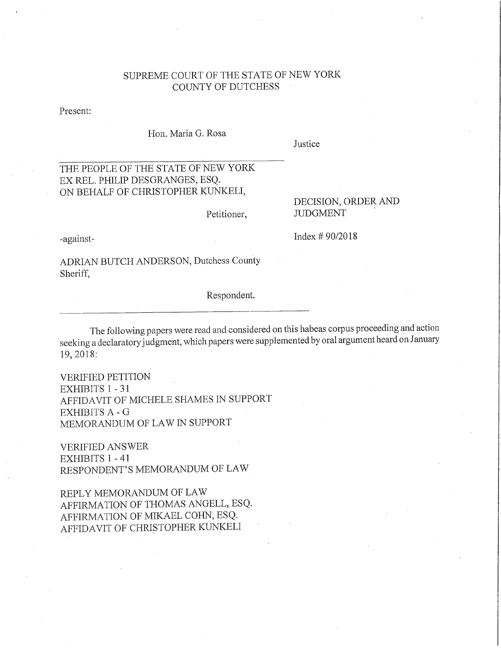## SUPREME COURT OF THE STATE OF NEW YORK COUNTY OF DUTCHESS

Present:

Hon. Maria G. Rosa

Justice

## THE PEOPLE OF THE STATE OF NEW YORK EX REL. **PHILIP** DESGRANGES, ESQ. ON BEHALF OF CHRISTOPHER KUNKELI,

Petitioner,

## DECISION, ORDER AND **JUDGMENT**

-against-

Index # 90/2018

ADRIAN BUTCH ANDERSON, Dutchess County Sheriff,

Respondent.

The following papers were read and considered on this habeas corpus proceeding and action seeking a declaratory judgment, which papers were supplemented by oral argument heard on January 19,2018:

VERIFIED PETITION EXHIBITS 1 - 31 AFFIDA VIT OF MICHELE SHAMES IN SUPPORT EXHIBITS A - G MEMORANDUM OF LAW IN SUPPORT

VERIFIED ANSWER EXHIBITS 1 - 41 RESPONDENT'S MEMORANDUM OF LAW

REPLY MEMORANDUM OF LAW AFFIRMATION OF THOMAS ANGELL, ESQ. AFFIRMATION OF MIKAEL COHN, ESQ. AFFIDA VIT OF CHRISTOPHER KUNKELI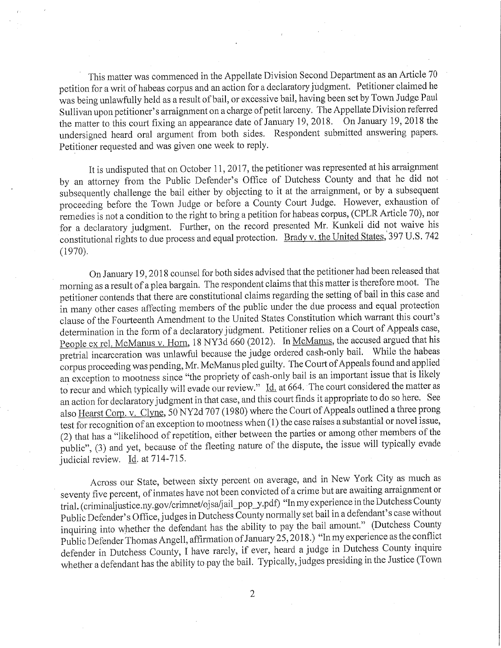This matter was commenced in the Appellate Division Second Department as an Article 70 petition for a writ of habeas corpus and an action for a declaratory judgment. Petitioner claimed he was being unlawfully held as a result of bail, or excessive bail, having been set by Town Judge Paul Sullivan upon petitioner's arraignment on a charge of petit larceny. The Appellate Division referred the matter to this court fixing an appearance date of January 19,2018. On January 19,2018 the undersigned heard oral argument from both sides. Respondent submitted answering papers. Petitioner requested and was given one week to reply.

It is undisputed that on October 11, 2017, the petitioner was represented at his arraignment by an attorney from the Public Defender's Office of Dutchess County and that he did not subsequently challenge the bail either by objecting to it at the arraignment, or by a subsequent proceeding before the Town Judge or before a County Court Judge. However, exhaustion of remedies is not a condition to the right to bring a petition for habeas corpus, (CPLR Article 70), nor for a declaratory judgment. Further, on the record presented Mr. Kunkeli did not waive his constitutional rights to due process and equal protection. Brady v. the United States,'397 U.S. 742 (1970).

On January 19,2018 counsel for both sides advised that the petitioner had been released that morning as a result of a plea bargain. The respondent claims that this matter is therefore moot. The petitioner contends that there are constitutional claims regarding the setting of bail in this case and in many other cases affecting members of the public under the due process and equal protection clause of the Fourteenth Amendment to the United States Constitution which warrant this court's determination in the form of a declaratory judgment. Petitioner relies on a Court of Appeals case, People ex rel. McManus v. Horn, 18 NY3d 660 (2012). In McManus, the accused argued that his pretrial incarceration was unlawful because the judge ordered cash-only bail. While the habeas corpus proceeding was pending, Mr. McManus pled guilty. The Court of Appeals found and applied an exception to mootness since "the propriety of cash-only bail is an important issue that is likely to recur and which typically will evade our review." Id. at 664. The court considered the matter as an action for declaratory judgment in that case, and this court finds it appropriate to do so here. See also Hearst Corp. v. Clyne, 50NY2d 707 (1980) where the Court of Appeals outlined a three prong test for recognition of an exception to mootness when (1) the case raises a substantial or novel issue, (2) that has a "likelihood of repetition, either between the parties or among other members of the public", (3) and yet, because of the fleeting nature of the dispute, the issue will typically evade judicial review. Id. at 714-715.

Across our State, between sixty percent on average, and in New York City as much as seventy five percent, of inmates have not been convicted of a crime but are awaiting arraignment or trial. (criminaljustice.ny.gov/crimnet/ojsa/jail\_pop\_y.pdf) "In my experience in the Dutchess County Public Defender's Office, judges in Dutchess County normally set bail in a defendant's case without inquiring into whether the defendant has the ability to pay the bail amount." (Dutchess County Public Defender Thomas Angell, affirmation of January 25,2018.) "In my experience asthe conflict defender in Dutchess County, I have rarely, if ever, heard a judge in Dutchess County inquire whether a defendant has the ability to pay the bail. Typically, judges presiding in the Justice (Town

2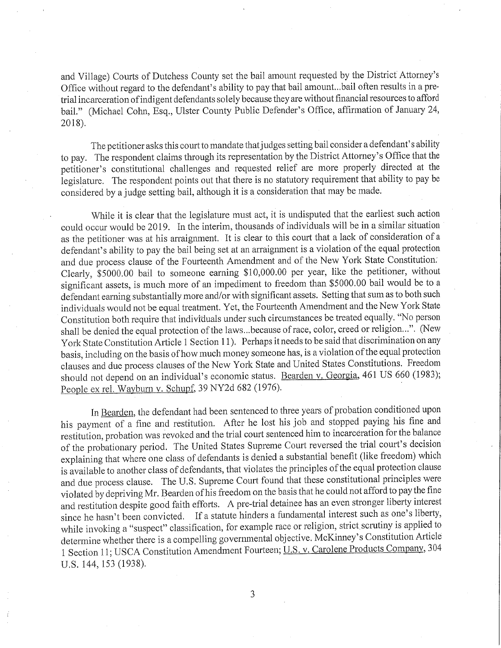and Village) Courts of Dutchess County set the bail amount requested by the District Attorney's Office without regard to the defendant's ability to pay that bail amount. ..bail often results in a pretrial incarceration ofindigent defendants solely because they are without financial resources to afford bail." (Michael Cohn, Esq., Ulster County Public Defender's Office, affirmation of January 24, 2018).

The petitioner asks this court to mandate that judges setting bail consider a defendant's ability to pay. The respondent claims through its representation by the District Attorney's Office that the petitioner's constitutional challenges and requested relief are more properly directed at the legislature. The respondent points out that there is no statutory requirement that ability to pay be considered by a judge setting bail, although it is a consideration that may be made.

While it is clear that the legislature must act, it is undisputed that the earliest such action could occur would be 2019. In the interim, thousands of individuals will be in a similar situation as the petitioner was at his arraignment. It is clear to this court that a lack of consideration of a defendant's ability to pay the bail being set at an arraignment is a violation of the equal protection and due process clause of the Fourteenth Amendment and of the New York State Constitution: Clearly, \$5000.00 bail to someone earning \$10,000.00 per year, like the petitioner, without significant assets, is much more of an impediment to freedom than \$5000.00 bail would be to a defendant earning substantially more and/or with significant assets. Setting that sum as to both such individuals would not be equal treatment. Yet, the Fourteenth Amendment and the New York State Constitution both require that indivlduals under such circumstances be treated equally. "No person shall be denied the equal protection of the laws ...because of race, color, creed or religion ...". (New York State Constitution Article 1 Section 11). Perhaps it needs to be said that discrimination on any basis, including on the basis of how much money someone has, is a violation of the equal protection clauses and due process clauses of the New York State and United States Constitutions. Freedom should not depend on an individual's economic status. Bearden v. Georgia, 461 US 660 (1983); People ex reI. Wayburn v. Schupf, 39 NY2d 682 (1976).

In Bearden, the defendant had been sentenced to three years of probation conditioned upon his payment of a fine and restitution. After he lost his joh and stopped paying his fine and restitution, probation was revoked and the trial court sentenced him to incarceration for the balance of the probationary period. The United States Supreme Court reversed the trial court's decision explaining that where one class of defendants is denied a substantial benefit (like freedom) which is available to another class of defendants, that violates the principles of the equal protection clause and due process clause. The U.S. Supreme Court found that these constitutional principles were violated by depriving Mr. Bearden of his freedom on the basis that he could not afford to pay the fine and restitution despite good faith efforts. A pre-trial detainee has an even stronger liberty interest since he hasn't been convicted. If a statute hinders a fundamental interest such as one's liberty, while invoking a "suspect" classification, for example race or religion, strict scrutiny is applied to determine whether there is a compelling governmental objective. McKinney's Constitution Article 1 Section 11; USCA Constitution Amendment Fourteen; U.S. v. Carolene Products Company, 304 U.S. 144, 153 (1938).

3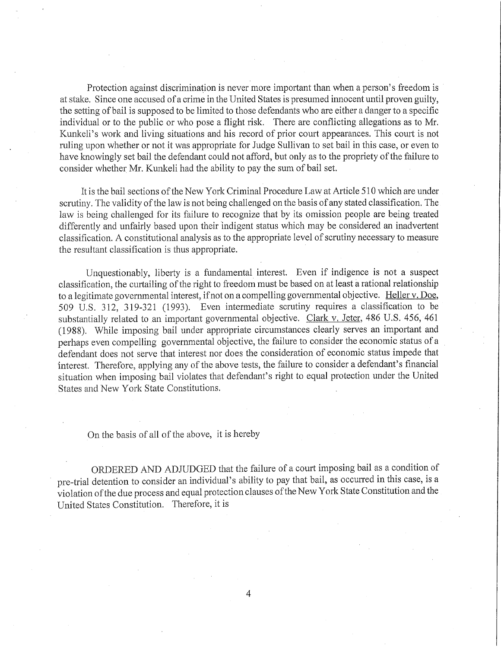Protection against discrimination is never more important than when a person's freedom is at stake. Since one accused of a crime in the United States is presumed innocent until proven guilty, the setting of bail is supposed to be limited to those defendants who are either a danger to a specific individual or to the public or who pose a flight risk. There are conflicting allegations as to Mr. Kunkeli's work and living situations and his record of prior court appearances. This court is not ruling upon whether or not it was appropriate for Judge Sullivan to set bail in this case, or even to have knowingly set bail the defendant could not afford, but only as to the propriety of the failure to consider whether Mr. Kunkeli had the ability to pay the sum of bail set.

Itis the bail sections of the New York Criminal Procedure Law at Article 510 which are under scrutiny. The validity of the law is not being challenged on the basis of any stated classification. The law is being challenged for its failure to recognize that by its omission people are being treated differently and unfairly based upon their indigent status which may be considered an inadvertent classification. A constitutional analysis as to the appropriate level of scrutiny necessary to measure the resultant classification is thus appropriate.

Unquestionably, liberty is a fundamental interest. Even if indigence is not a suspect classification, the curtailing of the right to freedom must be based on at least a rational relationship to a legitimate governmental interest, if not on a compelling governmental objective. Heller v. Doe, 509 U.S. 312, 319-321 (1993). Even intermediate scrutiny requires a classification to be substantially related to an important governmental objective. Clark v. Jeter, 486 U.S. 456, 461 (1988). While imposing bail under appropriate circumstances clearly serves an important and perhaps even compelling governmental objective, the failure to consider the economic status of a defendant does not serve that interest nor does the consideration of economic status impede that interest. Therefore, applying any of the above tests, the failure to consider a defendant's financial situation when imposing bail violates that defendant's right to equal protection under the United States and New York State Constitutions.

On the basis of all of the above, it is hereby

ORDERED AND ADJUDGED that the failure of a court imposing bail as a condition of pre-trial detention to consider an individual's ability to pay that bail, as occurred in this case, is a violation of the due process and equal protection clauses ofthe New York State Constitution and the United States Constitution. Therefore, it is